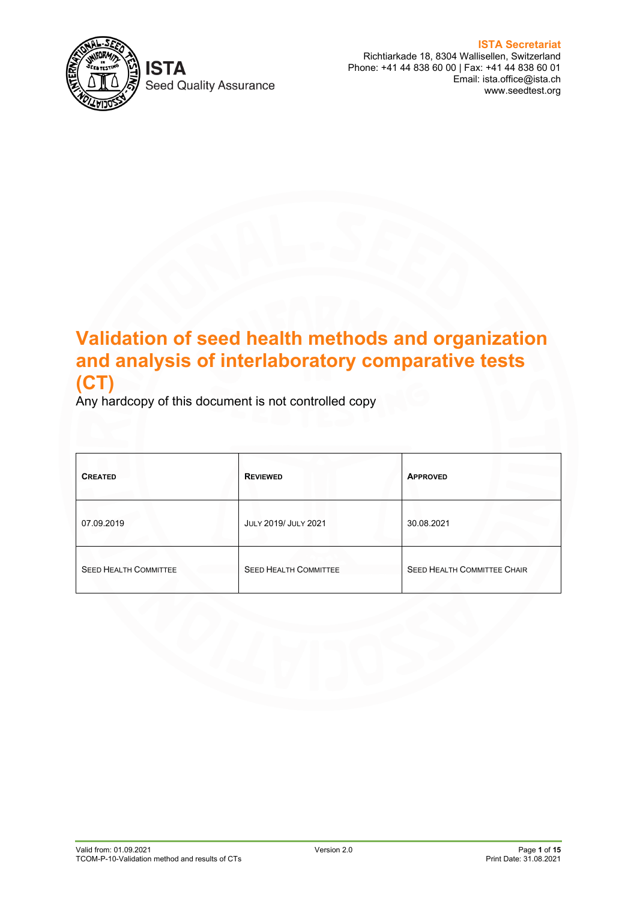

Seed Quality Assurance

**ISTA Secretariat** Richtiarkade 18, 8304 Wallisellen, Switzerland Phone: +41 44 838 60 00 | Fax: +41 44 838 60 01 Email: ista.office@ista.ch www.seedtest.org

# **Validation of seed health methods and organization and analysis of interlaboratory comparative tests (CT)**

Any hardcopy of this document is not controlled copy

| <b>CREATED</b>               | <b>REVIEWED</b>              | <b>APPROVED</b>                    |
|------------------------------|------------------------------|------------------------------------|
| 07.09.2019                   | JULY 2019/ JULY 2021         | 30.08.2021                         |
| <b>SEED HEALTH COMMITTEE</b> | <b>SEED HEALTH COMMITTEE</b> | <b>SEED HEALTH COMMITTEE CHAIR</b> |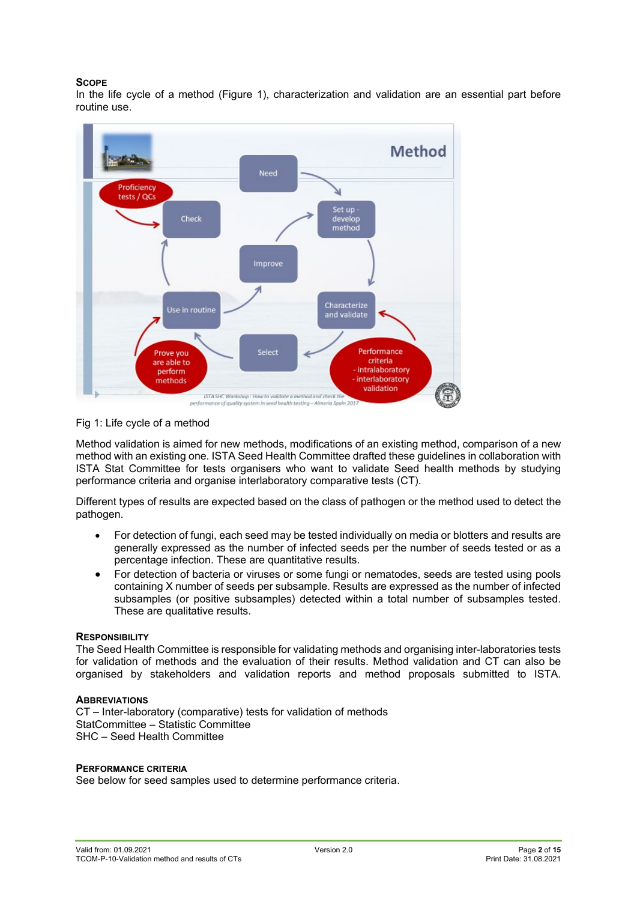#### **SCOPE**

In the life cycle of a method (Figure 1), characterization and validation are an essential part before routine use.



#### Fig 1: Life cycle of a method

Method validation is aimed for new methods, modifications of an existing method, comparison of a new method with an existing one. ISTA Seed Health Committee drafted these guidelines in collaboration with ISTA Stat Committee for tests organisers who want to validate Seed health methods by studying performance criteria and organise interlaboratory comparative tests (CT).

Different types of results are expected based on the class of pathogen or the method used to detect the pathogen.

- For detection of fungi, each seed may be tested individually on media or blotters and results are generally expressed as the number of infected seeds per the number of seeds tested or as a percentage infection. These are quantitative results.
- For detection of bacteria or viruses or some fungi or nematodes, seeds are tested using pools containing X number of seeds per subsample. Results are expressed as the number of infected subsamples (or positive subsamples) detected within a total number of subsamples tested. These are qualitative results.

#### **RESPONSIBILITY**

The Seed Health Committee is responsible for validating methods and organising inter-laboratories tests for validation of methods and the evaluation of their results. Method validation and CT can also be organised by stakeholders and validation reports and method proposals submitted to ISTA.

#### **ABBREVIATIONS**

CT – Inter-laboratory (comparative) tests for validation of methods StatCommittee – Statistic Committee SHC – Seed Health Committee

#### **PERFORMANCE CRITERIA**

See below for seed samples used to determine performance criteria.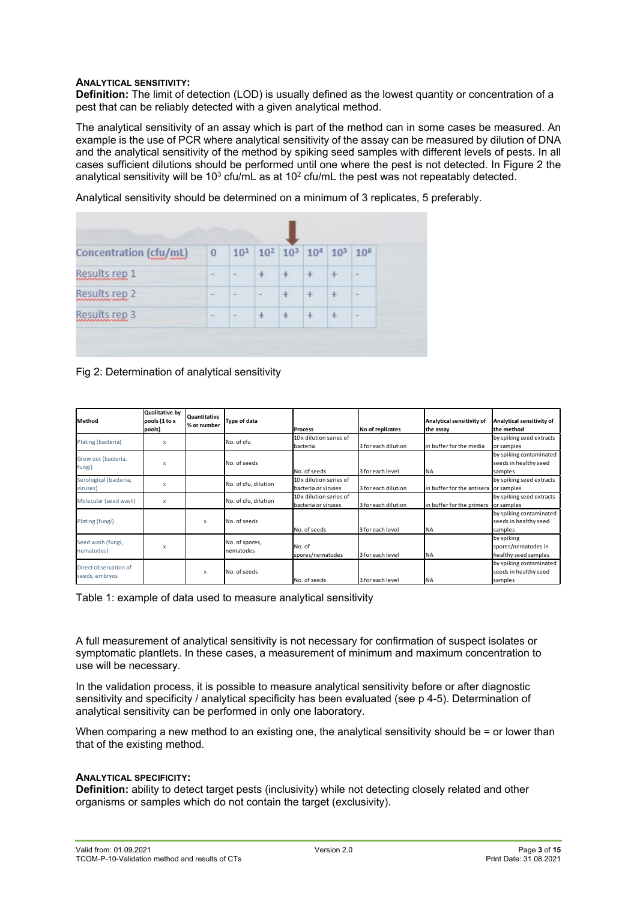#### **ANALYTICAL SENSITIVITY:**

**Definition:** The limit of detection (LOD) is usually defined as the lowest quantity or concentration of a pest that can be reliably detected with a given analytical method.

The analytical sensitivity of an assay which is part of the method can in some cases be measured. An example is the use of PCR where analytical sensitivity of the assay can be measured by dilution of DNA and the analytical sensitivity of the method by spiking seed samples with different levels of pests. In all cases sufficient dilutions should be performed until one where the pest is not detected. In Figure 2 the analytical sensitivity will be 10<sup>3</sup> cfu/mL as at 10<sup>2</sup> cfu/mL the pest was not repeatably detected.

| Concentration (cfu/mL) | $\overline{0}$           | 10 <sup>1</sup> 10 <sup>2</sup> 10 <sup>3</sup> 10 <sup>4</sup> 10 <sup>5</sup> 10 <sup>6</sup> |           |           |  |
|------------------------|--------------------------|-------------------------------------------------------------------------------------------------|-----------|-----------|--|
| Results rep 1          | $-$                      |                                                                                                 | $\ddot{}$ | $\ddot{}$ |  |
| Results rep 2          |                          |                                                                                                 |           |           |  |
| Results rep 3          | $\overline{\phantom{a}}$ |                                                                                                 |           |           |  |

Analytical sensitivity should be determined on a minimum of 3 replicates, 5 preferably.

Fig 2: Determination of analytical sensitivity

| <b>Method</b>                           | Qualitative by<br>pools (1 to x<br>pools) | Quantitative<br>% or number | <b>Type of data</b>         | <b>Process</b>                                 | No of replicates    | Analytical sensitivity of<br>the assay | Analytical sensitivity of<br>the method                     |
|-----------------------------------------|-------------------------------------------|-----------------------------|-----------------------------|------------------------------------------------|---------------------|----------------------------------------|-------------------------------------------------------------|
| Plating (bacteria)                      | $\times$                                  |                             | No. of cfu                  | 10 x dilution series of<br>bacteria            | 3 for each dilution | in buffer for the media                | by spiking seed extracts<br>or samples                      |
| Grow out (bacteria,<br>fungi)           | $\times$                                  |                             | No. of seeds                | No. of seeds                                   | 3 for each level    | <b>NA</b>                              | by spiking contaminated<br>seeds in healthy seed<br>samples |
| Serological (bacteria,<br>viruses)      | X                                         |                             | No. of cfu, dilution        | 10 x dilution series of<br>bacteria or viruses | 3 for each dilution | in buffer for the antisera             | by spiking seed extracts<br>or samples                      |
| Molecular (seed wash)                   | X                                         |                             | No. of cfu, dilution        | 10 x dilution series of<br>bacteria or viruses | 3 for each dilution | in buffer for the primers              | by spiking seed extracts<br>or samples                      |
| Plating (fungi)                         |                                           | X                           | No. of seeds                | No. of seeds                                   | 3 for each level    | <b>NA</b>                              | by spiking contaminated<br>seeds in healthy seed<br>samples |
| Seed wash (fungi,<br>nematodes)         | $\times$                                  |                             | No. of spores,<br>nematodes | No. of<br>spores/nematodes                     | 3 for each level    | <b>NA</b>                              | by spiking<br>spores/nematodes in<br>healthy seed samples   |
| Direct observation of<br>seeds, embryos |                                           | X                           | No. of seeds                | No. of seeds                                   | 3 for each level    | <b>INA</b>                             | by spiking contaminated<br>seeds in healthy seed<br>samples |

Table 1: example of data used to measure analytical sensitivity

A full measurement of analytical sensitivity is not necessary for confirmation of suspect isolates or symptomatic plantlets. In these cases, a measurement of minimum and maximum concentration to use will be necessary.

In the validation process, it is possible to measure analytical sensitivity before or after diagnostic sensitivity and specificity / analytical specificity has been evaluated (see p 4-5). Determination of analytical sensitivity can be performed in only one laboratory.

When comparing a new method to an existing one, the analytical sensitivity should be = or lower than that of the existing method.

#### **ANALYTICAL SPECIFICITY:**

**Definition:** ability to detect target pests (inclusivity) while not detecting closely related and other organisms or samples which do not contain the target (exclusivity).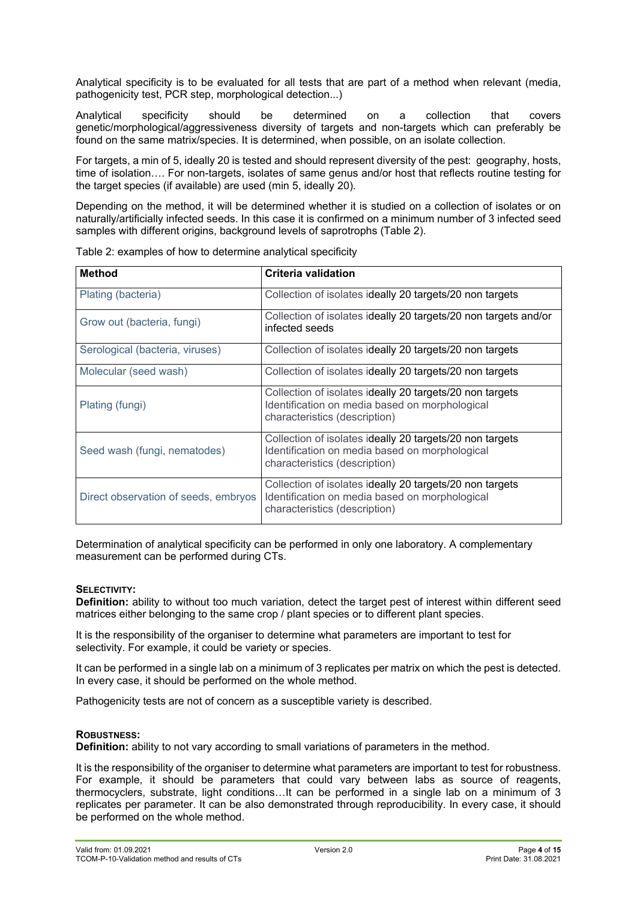Analytical specificity is to be evaluated for all tests that are part of a method when relevant (media, pathogenicity test, PCR step, morphological detection...)

Analytical specificity should be determined on a collection that covers genetic/morphological/aggressiveness diversity of targets and non-targets which can preferably be found on the same matrix/species. It is determined, when possible, on an isolate collection.

For targets, a min of 5, ideally 20 is tested and should represent diversity of the pest: geography, hosts, time of isolation…. For non-targets, isolates of same genus and/or host that reflects routine testing for the target species (if available) are used (min 5, ideally 20).

Depending on the method, it will be determined whether it is studied on a collection of isolates or on naturally/artificially infected seeds. In this case it is confirmed on a minimum number of 3 infected seed samples with different origins, background levels of saprotrophs (Table 2).

| <b>Method</b>                        | <b>Criteria validation</b>                                                                                                                  |
|--------------------------------------|---------------------------------------------------------------------------------------------------------------------------------------------|
| Plating (bacteria)                   | Collection of isolates ideally 20 targets/20 non targets                                                                                    |
| Grow out (bacteria, fungi)           | Collection of isolates ideally 20 targets/20 non targets and/or<br>infected seeds                                                           |
| Serological (bacteria, viruses)      | Collection of isolates ideally 20 targets/20 non targets                                                                                    |
| Molecular (seed wash)                | Collection of isolates ideally 20 targets/20 non targets                                                                                    |
| Plating (fungi)                      | Collection of isolates ideally 20 targets/20 non targets<br>Identification on media based on morphological<br>characteristics (description) |
| Seed wash (fungi, nematodes)         | Collection of isolates ideally 20 targets/20 non targets<br>Identification on media based on morphological<br>characteristics (description) |
| Direct observation of seeds, embryos | Collection of isolates ideally 20 targets/20 non targets<br>Identification on media based on morphological<br>characteristics (description) |

Table 2: examples of how to determine analytical specificity

Determination of analytical specificity can be performed in only one laboratory. A complementary measurement can be performed during CTs.

#### **SELECTIVITY:**

**Definition:** ability to without too much variation, detect the target pest of interest within different seed matrices either belonging to the same crop / plant species or to different plant species.

It is the responsibility of the organiser to determine what parameters are important to test for selectivity. For example, it could be variety or species.

It can be performed in a single lab on a minimum of 3 replicates per matrix on which the pest is detected. In every case, it should be performed on the whole method.

Pathogenicity tests are not of concern as a susceptible variety is described.

#### **ROBUSTNESS:**

**Definition:** ability to not vary according to small variations of parameters in the method.

It is the responsibility of the organiser to determine what parameters are important to test for robustness. For example, it should be parameters that could vary between labs as source of reagents, thermocyclers, substrate, light conditions…It can be performed in a single lab on a minimum of 3 replicates per parameter. It can be also demonstrated through reproducibility. In every case, it should be performed on the whole method.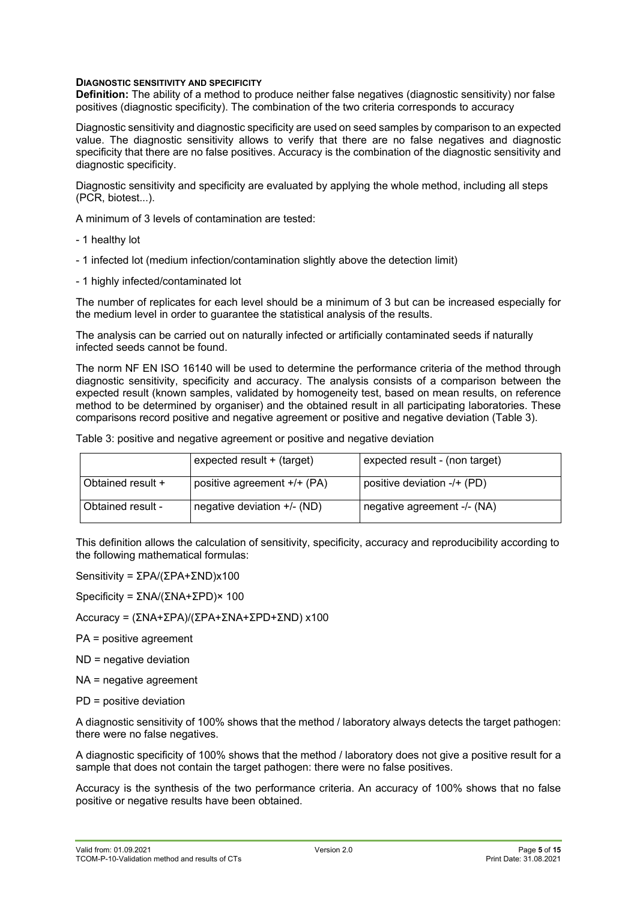#### **DIAGNOSTIC SENSITIVITY AND SPECIFICITY**

**Definition:** The ability of a method to produce neither false negatives (diagnostic sensitivity) nor false positives (diagnostic specificity). The combination of the two criteria corresponds to accuracy

Diagnostic sensitivity and diagnostic specificity are used on seed samples by comparison to an expected value. The diagnostic sensitivity allows to verify that there are no false negatives and diagnostic specificity that there are no false positives. Accuracy is the combination of the diagnostic sensitivity and diagnostic specificity.

Diagnostic sensitivity and specificity are evaluated by applying the whole method, including all steps (PCR, biotest...).

A minimum of 3 levels of contamination are tested:

- 1 healthy lot
- 1 infected lot (medium infection/contamination slightly above the detection limit)
- 1 highly infected/contaminated lot

The number of replicates for each level should be a minimum of 3 but can be increased especially for the medium level in order to guarantee the statistical analysis of the results.

The analysis can be carried out on naturally infected or artificially contaminated seeds if naturally infected seeds cannot be found.

The norm NF EN ISO 16140 will be used to determine the performance criteria of the method through diagnostic sensitivity, specificity and accuracy. The analysis consists of a comparison between the expected result (known samples, validated by homogeneity test, based on mean results, on reference method to be determined by organiser) and the obtained result in all participating laboratories. These comparisons record positive and negative agreement or positive and negative deviation (Table 3).

|  |  | Table 3: positive and negative agreement or positive and negative deviation |
|--|--|-----------------------------------------------------------------------------|
|  |  |                                                                             |

|                   | expected result + (target)    | expected result - (non target) |
|-------------------|-------------------------------|--------------------------------|
| Obtained result + | positive agreement +/+ (PA)   | positive deviation -/+ (PD)    |
| Obtained result - | negative deviation $+/-$ (ND) | negative agreement -/- (NA)    |

This definition allows the calculation of sensitivity, specificity, accuracy and reproducibility according to the following mathematical formulas:

Sensitivity = ΣPA/(ΣPA+ΣND)x100

Specificity = ΣNA/(ΣNA+ΣPD)× 100

Accuracy = (ΣNA+ΣPA)/(ΣPA+ΣNA+ΣPD+ΣND) x100

PA = positive agreement

ND = negative deviation

NA = negative agreement

PD = positive deviation

A diagnostic sensitivity of 100% shows that the method / laboratory always detects the target pathogen: there were no false negatives.

A diagnostic specificity of 100% shows that the method / laboratory does not give a positive result for a sample that does not contain the target pathogen: there were no false positives.

Accuracy is the synthesis of the two performance criteria. An accuracy of 100% shows that no false positive or negative results have been obtained.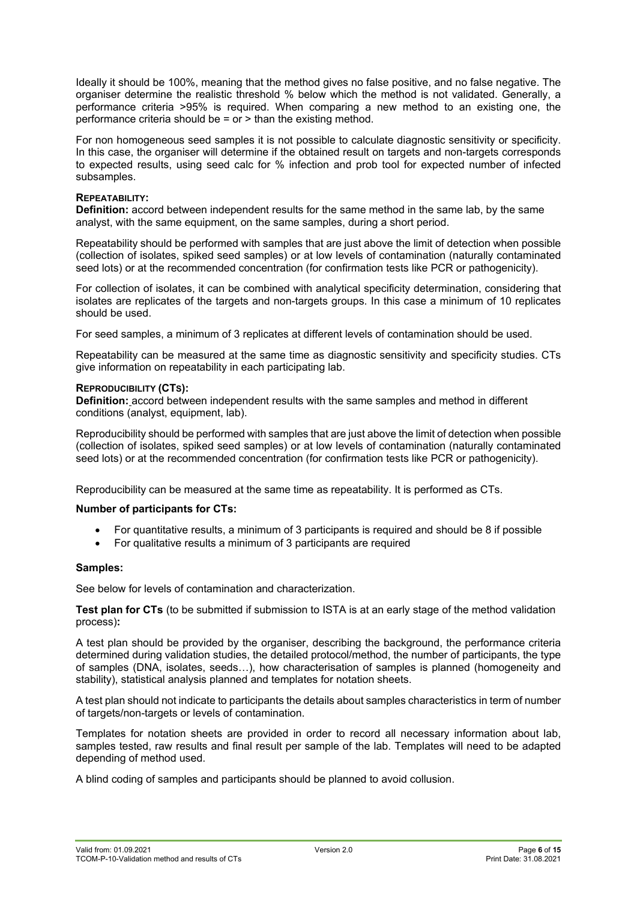Ideally it should be 100%, meaning that the method gives no false positive, and no false negative. The organiser determine the realistic threshold % below which the method is not validated. Generally, a performance criteria >95% is required. When comparing a new method to an existing one, the performance criteria should be  $=$  or  $>$  than the existing method.

For non homogeneous seed samples it is not possible to calculate diagnostic sensitivity or specificity. In this case, the organiser will determine if the obtained result on targets and non-targets corresponds to expected results, using seed calc for % infection and prob tool for expected number of infected subsamples.

#### **REPEATABILITY:**

**Definition:** accord between independent results for the same method in the same lab, by the same analyst, with the same equipment, on the same samples, during a short period.

Repeatability should be performed with samples that are just above the limit of detection when possible (collection of isolates, spiked seed samples) or at low levels of contamination (naturally contaminated seed lots) or at the recommended concentration (for confirmation tests like PCR or pathogenicity).

For collection of isolates, it can be combined with analytical specificity determination, considering that isolates are replicates of the targets and non-targets groups. In this case a minimum of 10 replicates should be used.

For seed samples, a minimum of 3 replicates at different levels of contamination should be used.

Repeatability can be measured at the same time as diagnostic sensitivity and specificity studies. CTs give information on repeatability in each participating lab.

#### **REPRODUCIBILITY (CTS):**

**Definition:** accord between independent results with the same samples and method in different conditions (analyst, equipment, lab).

Reproducibility should be performed with samples that are just above the limit of detection when possible (collection of isolates, spiked seed samples) or at low levels of contamination (naturally contaminated seed lots) or at the recommended concentration (for confirmation tests like PCR or pathogenicity).

Reproducibility can be measured at the same time as repeatability. It is performed as CTs.

#### **Number of participants for CTs:**

- For quantitative results, a minimum of 3 participants is required and should be 8 if possible
- For qualitative results a minimum of 3 participants are required

#### **Samples:**

See below for levels of contamination and characterization.

**Test plan for CTs** (to be submitted if submission to ISTA is at an early stage of the method validation process)**:** 

A test plan should be provided by the organiser, describing the background, the performance criteria determined during validation studies, the detailed protocol/method, the number of participants, the type of samples (DNA, isolates, seeds…), how characterisation of samples is planned (homogeneity and stability), statistical analysis planned and templates for notation sheets.

A test plan should not indicate to participants the details about samples characteristics in term of number of targets/non-targets or levels of contamination.

Templates for notation sheets are provided in order to record all necessary information about lab, samples tested, raw results and final result per sample of the lab. Templates will need to be adapted depending of method used.

A blind coding of samples and participants should be planned to avoid collusion.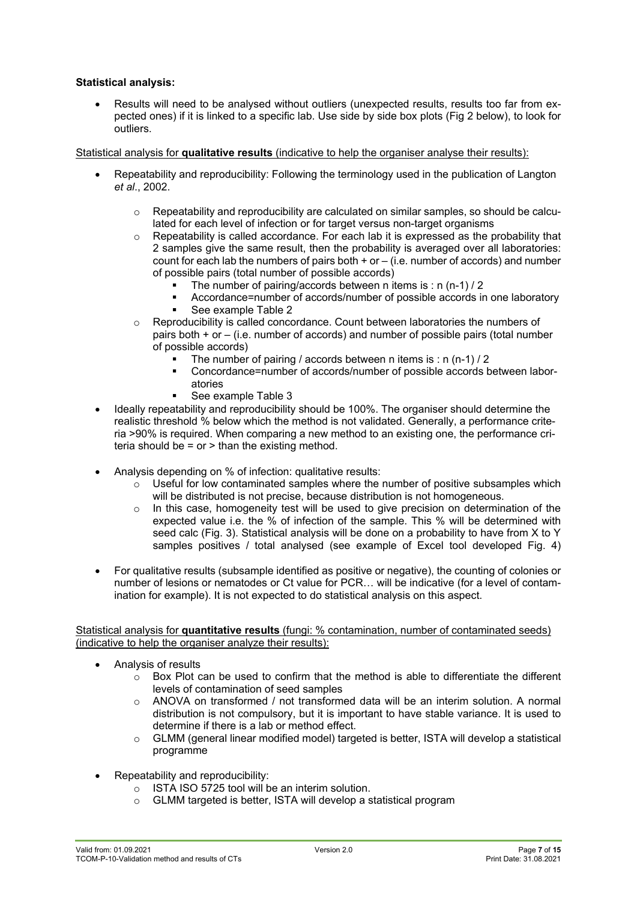#### **Statistical analysis:**

• Results will need to be analysed without outliers (unexpected results, results too far from expected ones) if it is linked to a specific lab. Use side by side box plots (Fig 2 below), to look for outliers.

#### Statistical analysis for **qualitative results** (indicative to help the organiser analyse their results):

- Repeatability and reproducibility: Following the terminology used in the publication of Langton *et al*., 2002.
	- o Repeatability and reproducibility are calculated on similar samples, so should be calculated for each level of infection or for target versus non-target organisms
	- $\circ$  Repeatability is called accordance. For each lab it is expressed as the probability that 2 samples give the same result, then the probability is averaged over all laboratories: count for each lab the numbers of pairs both  $+$  or  $-$  (i.e. number of accords) and number of possible pairs (total number of possible accords)
		- The number of pairing/accords between n items is : n (n-1) / 2
		- Accordance=number of accords/number of possible accords in one laboratory
		- See example Table 2
	- o Reproducibility is called concordance. Count between laboratories the numbers of pairs both + or – (i.e. number of accords) and number of possible pairs (total number of possible accords)
		- The number of pairing / accords between n items is : n (n-1) / 2
		- Concordance=number of accords/number of possible accords between laboratories
		- See example Table 3
- Ideally repeatability and reproducibility should be 100%. The organiser should determine the realistic threshold % below which the method is not validated. Generally, a performance criteria >90% is required. When comparing a new method to an existing one, the performance criteria should be  $=$  or  $>$  than the existing method.
- Analysis depending on % of infection: qualitative results:
	- $\circ$  Useful for low contaminated samples where the number of positive subsamples which will be distributed is not precise, because distribution is not homogeneous.
	- $\circ$  In this case, homogeneity test will be used to give precision on determination of the expected value i.e. the % of infection of the sample. This % will be determined with seed calc (Fig. 3). Statistical analysis will be done on a probability to have from X to Y samples positives / total analysed (see example of Excel tool developed Fig. 4)
- For qualitative results (subsample identified as positive or negative), the counting of colonies or number of lesions or nematodes or Ct value for PCR… will be indicative (for a level of contamination for example). It is not expected to do statistical analysis on this aspect.

#### Statistical analysis for **quantitative results** (fungi: % contamination, number of contaminated seeds) (indicative to help the organiser analyze their results):

- Analysis of results
	- $\circ$  Box Plot can be used to confirm that the method is able to differentiate the different levels of contamination of seed samples
	- o ANOVA on transformed / not transformed data will be an interim solution. A normal distribution is not compulsory, but it is important to have stable variance. It is used to determine if there is a lab or method effect.
	- $\circ$  GLMM (general linear modified model) targeted is better, ISTA will develop a statistical programme
- Repeatability and reproducibility:
	- $\circ$  ISTA ISO 5725 tool will be an interim solution.<br> $\circ$  GLMM targeted is better ISTA will develop as
	- GLMM targeted is better, ISTA will develop a statistical program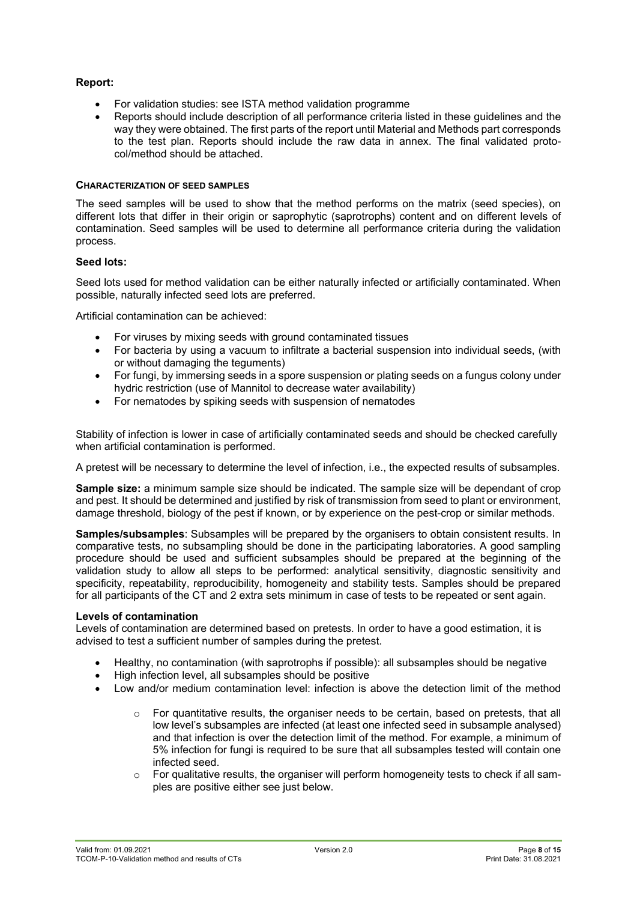#### **Report:**

- For validation studies: see ISTA method validation programme
- Reports should include description of all performance criteria listed in these guidelines and the way they were obtained. The first parts of the report until Material and Methods part corresponds to the test plan. Reports should include the raw data in annex. The final validated protocol/method should be attached.

#### **CHARACTERIZATION OF SEED SAMPLES**

The seed samples will be used to show that the method performs on the matrix (seed species), on different lots that differ in their origin or saprophytic (saprotrophs) content and on different levels of contamination. Seed samples will be used to determine all performance criteria during the validation process.

#### **Seed lots:**

Seed lots used for method validation can be either naturally infected or artificially contaminated. When possible, naturally infected seed lots are preferred.

Artificial contamination can be achieved:

- For viruses by mixing seeds with ground contaminated tissues
- For bacteria by using a vacuum to infiltrate a bacterial suspension into individual seeds, (with or without damaging the teguments)
- For fungi, by immersing seeds in a spore suspension or plating seeds on a fungus colony under hydric restriction (use of Mannitol to decrease water availability)
- For nematodes by spiking seeds with suspension of nematodes

Stability of infection is lower in case of artificially contaminated seeds and should be checked carefully when artificial contamination is performed.

A pretest will be necessary to determine the level of infection, i.e., the expected results of subsamples.

**Sample size:** a minimum sample size should be indicated. The sample size will be dependant of crop and pest. It should be determined and justified by risk of transmission from seed to plant or environment, damage threshold, biology of the pest if known, or by experience on the pest-crop or similar methods.

**Samples/subsamples**: Subsamples will be prepared by the organisers to obtain consistent results. In comparative tests, no subsampling should be done in the participating laboratories. A good sampling procedure should be used and sufficient subsamples should be prepared at the beginning of the validation study to allow all steps to be performed: analytical sensitivity, diagnostic sensitivity and specificity, repeatability, reproducibility, homogeneity and stability tests. Samples should be prepared for all participants of the CT and 2 extra sets minimum in case of tests to be repeated or sent again.

#### **Levels of contamination**

Levels of contamination are determined based on pretests. In order to have a good estimation, it is advised to test a sufficient number of samples during the pretest.

- Healthy, no contamination (with saprotrophs if possible): all subsamples should be negative
- High infection level, all subsamples should be positive
- Low and/or medium contamination level: infection is above the detection limit of the method
	- $\circ$  For quantitative results, the organiser needs to be certain, based on pretests, that all low level's subsamples are infected (at least one infected seed in subsample analysed) and that infection is over the detection limit of the method. For example, a minimum of 5% infection for fungi is required to be sure that all subsamples tested will contain one infected seed.
	- $\circ$  For qualitative results, the organiser will perform homogeneity tests to check if all samples are positive either see just below.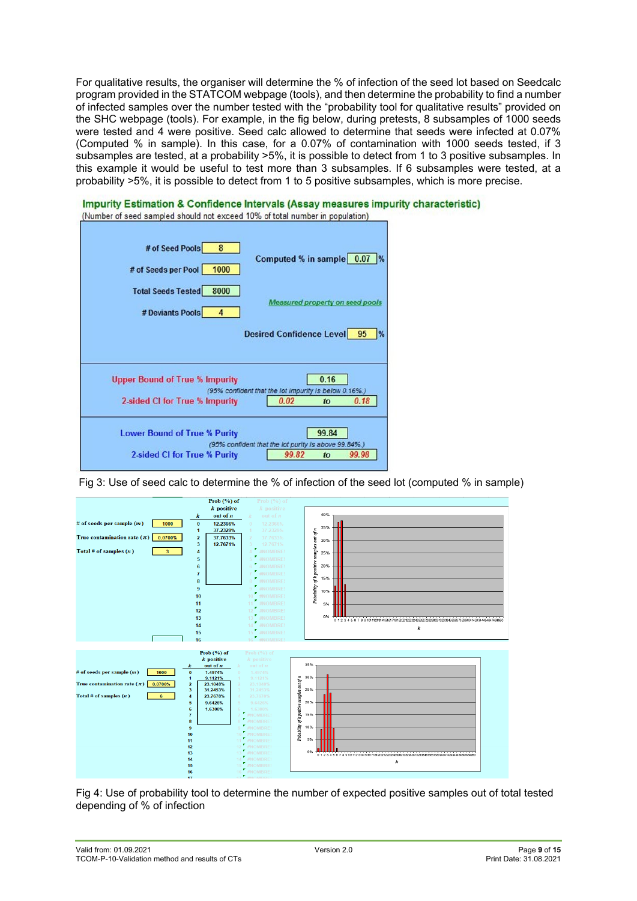For qualitative results, the organiser will determine the % of infection of the seed lot based on Seedcalc program provided in the STATCOM webpage (tools), and then determine the probability to find a number of infected samples over the number tested with the "probability tool for qualitative results" provided on the SHC webpage (tools). For example, in the fig below, during pretests, 8 subsamples of 1000 seeds were tested and 4 were positive. Seed calc allowed to determine that seeds were infected at 0.07% (Computed % in sample). In this case, for a 0.07% of contamination with 1000 seeds tested, if 3 subsamples are tested, at a probability >5%, it is possible to detect from 1 to 3 positive subsamples. In this example it would be useful to test more than 3 subsamples. If 6 subsamples were tested, at a probability >5%, it is possible to detect from 1 to 5 positive subsamples, which is more precise.



Fig 3: Use of seed calc to determine the % of infection of the seed lot (computed % in sample)



Fig 4: Use of probability tool to determine the number of expected positive samples out of total tested depending of % of infection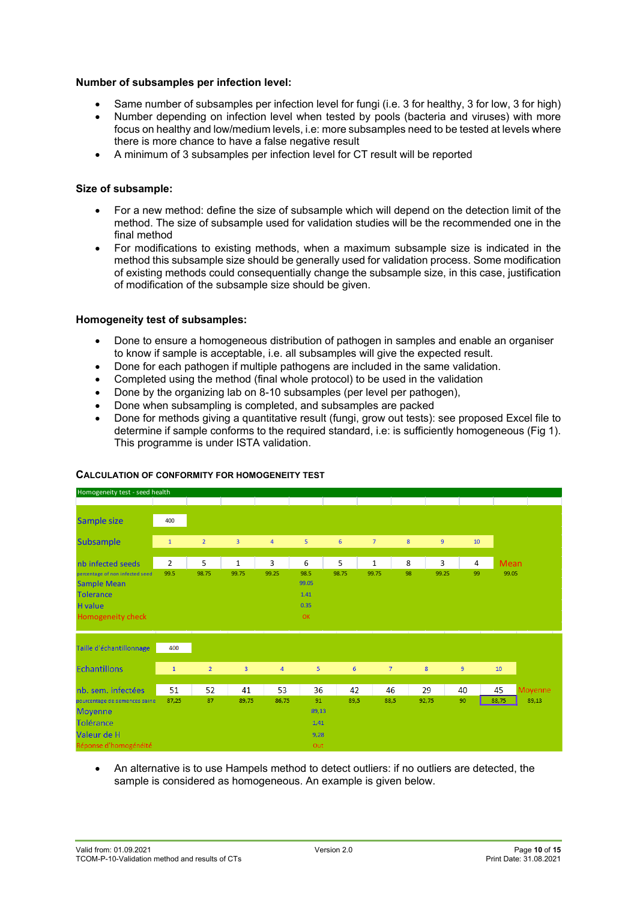#### **Number of subsamples per infection level:**

- Same number of subsamples per infection level for fungi (i.e. 3 for healthy, 3 for low, 3 for high)
- Number depending on infection level when tested by pools (bacteria and viruses) with more focus on healthy and low/medium levels, i.e: more subsamples need to be tested at levels where there is more chance to have a false negative result
- A minimum of 3 subsamples per infection level for CT result will be reported

#### **Size of subsample:**

- For a new method: define the size of subsample which will depend on the detection limit of the method. The size of subsample used for validation studies will be the recommended one in the final method
- For modifications to existing methods, when a maximum subsample size is indicated in the method this subsample size should be generally used for validation process. Some modification of existing methods could consequentially change the subsample size, in this case, justification of modification of the subsample size should be given.

#### **Homogeneity test of subsamples:**

- Done to ensure a homogeneous distribution of pathogen in samples and enable an organiser to know if sample is acceptable, i.e. all subsamples will give the expected result.
- Done for each pathogen if multiple pathogens are included in the same validation.
- Completed using the method (final whole protocol) to be used in the validation
- Done by the organizing lab on 8-10 subsamples (per level per pathogen),
- Done when subsampling is completed, and subsamples are packed
- Done for methods giving a quantitative result (fungi, grow out tests): see proposed Excel file to determine if sample conforms to the required standard, i.e: is sufficiently homogeneous (Fig 1). This programme is under ISTA validation.



#### **CALCULATION OF CONFORMITY FOR HOMOGENEITY TEST**

• An alternative is to use Hampels method to detect outliers: if no outliers are detected, the sample is considered as homogeneous. An example is given below.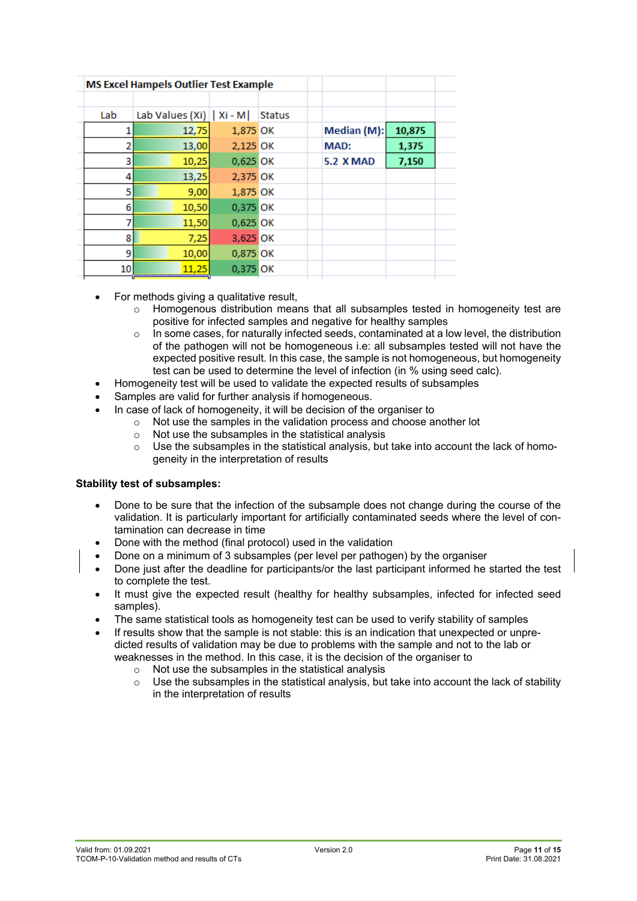| 10,875 |             |
|--------|-------------|
| 1,375  |             |
| 7,150  |             |
|        |             |
|        |             |
|        |             |
|        |             |
|        |             |
|        |             |
|        |             |
|        | Median (M): |

- For methods giving a qualitative result,
	- Homogenous distribution means that all subsamples tested in homogeneity test are positive for infected samples and negative for healthy samples
	- In some cases, for naturally infected seeds, contaminated at a low level, the distribution of the pathogen will not be homogeneous i.e: all subsamples tested will not have the expected positive result. In this case, the sample is not homogeneous, but homogeneity test can be used to determine the level of infection (in % using seed calc).
- Homogeneity test will be used to validate the expected results of subsamples
- Samples are valid for further analysis if homogeneous.
	- In case of lack of homogeneity, it will be decision of the organiser to
		- $\circ$  Not use the samples in the validation process and choose another lot  $\circ$  Not use the subsamples in the statistical analysis
		- Not use the subsamples in the statistical analysis
		- $\circ$  Use the subsamples in the statistical analysis, but take into account the lack of homogeneity in the interpretation of results

#### **Stability test of subsamples:**

- Done to be sure that the infection of the subsample does not change during the course of the validation. It is particularly important for artificially contaminated seeds where the level of contamination can decrease in time
- Done with the method (final protocol) used in the validation
- Done on a minimum of 3 subsamples (per level per pathogen) by the organiser
- Done just after the deadline for participants/or the last participant informed he started the test to complete the test.
- It must give the expected result (healthy for healthy subsamples, infected for infected seed samples).
- The same statistical tools as homogeneity test can be used to verify stability of samples
- If results show that the sample is not stable: this is an indication that unexpected or unpredicted results of validation may be due to problems with the sample and not to the lab or weaknesses in the method. In this case, it is the decision of the organiser to
	- o Not use the subsamples in the statistical analysis
	- Use the subsamples in the statistical analysis, but take into account the lack of stability in the interpretation of results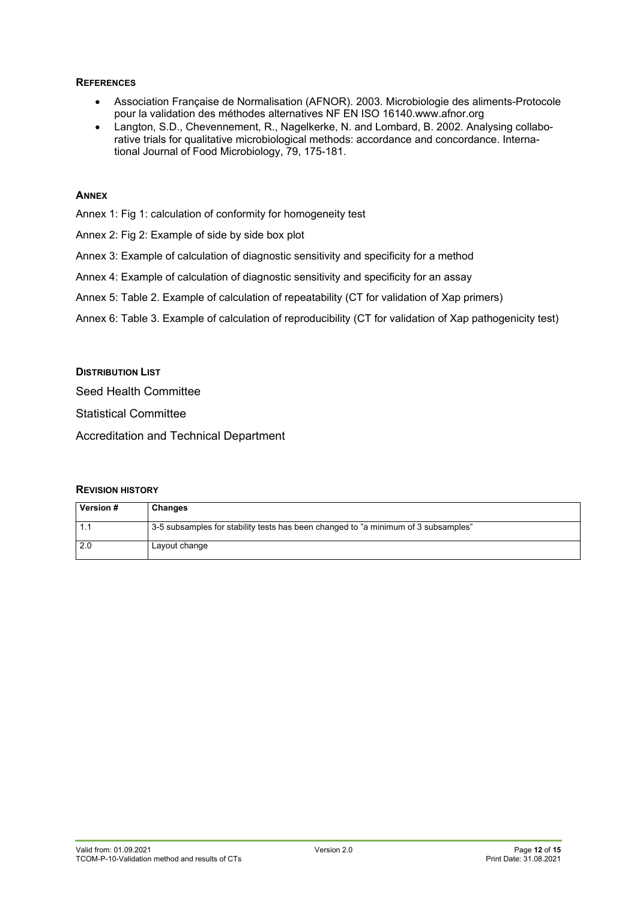#### **REFERENCES**

- Association Française de Normalisation (AFNOR). 2003. Microbiologie des aliments-Protocole pour la validation des méthodes alternatives NF EN ISO 16140.www.afnor.org
- Langton, S.D., Chevennement, R., Nagelkerke, N. and Lombard, B. 2002. Analysing collaborative trials for qualitative microbiological methods: accordance and concordance. International Journal of Food Microbiology, 79, 175-181.

#### **ANNEX**

- Annex 1: Fig 1: calculation of conformity for homogeneity test
- Annex 2: Fig 2: Example of side by side box plot
- Annex 3: Example of calculation of diagnostic sensitivity and specificity for a method
- Annex 4: Example of calculation of diagnostic sensitivity and specificity for an assay
- Annex 5: Table 2. Example of calculation of repeatability (CT for validation of Xap primers)
- Annex 6: Table 3. Example of calculation of reproducibility (CT for validation of Xap pathogenicity test)

#### **DISTRIBUTION LIST**

Seed Health Committee

Statistical Committee

Accreditation and Technical Department

#### **REVISION HISTORY**

| Version # | Changes                                                                            |
|-----------|------------------------------------------------------------------------------------|
| -1.1      | 3-5 subsamples for stability tests has been changed to "a minimum of 3 subsamples" |
| 2.0       | Layout change                                                                      |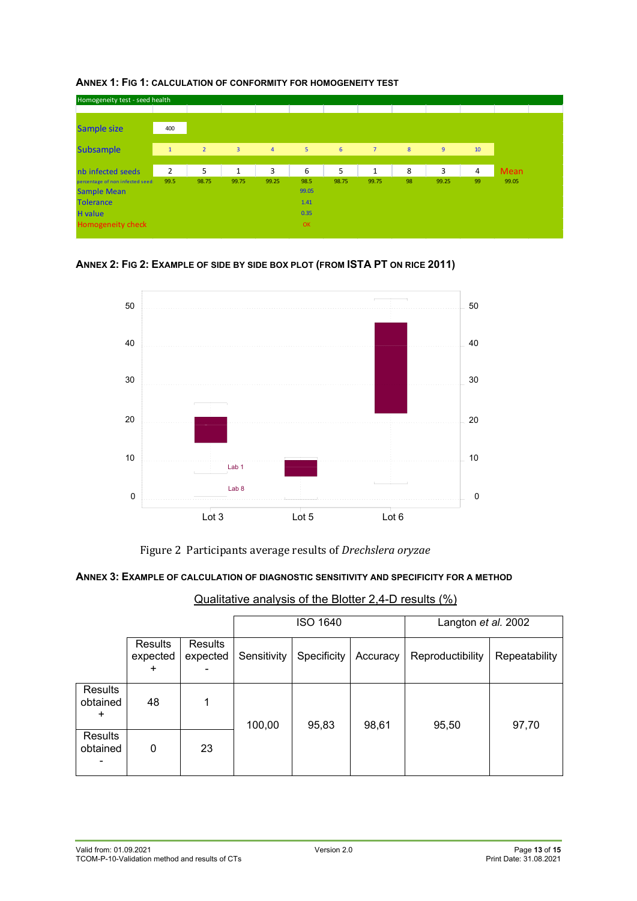

**ANNEX 1: FIG 1: CALCULATION OF CONFORMITY FOR HOMOGENEITY TEST**





Figure 2 Participants average results of *Drechslera oryzae*

#### **ANNEX 3: EXAMPLE OF CALCULATION OF DIAGNOSTIC SENSITIVITY AND SPECIFICITY FOR A METHOD**

| Qualitative analysis of the Blotter 2,4-D results (%) |  |
|-------------------------------------------------------|--|
|                                                       |  |

|                                  |                                  |                            |                                               | <b>ISO 1640</b> |          | Langton et al. 2002 |               |  |
|----------------------------------|----------------------------------|----------------------------|-----------------------------------------------|-----------------|----------|---------------------|---------------|--|
|                                  | Results<br>expected<br>$\ddot{}$ | <b>Results</b><br>expected | Specificity<br>Sensitivity<br>100,00<br>95,83 |                 | Accuracy | Reproductibility    | Repeatability |  |
| Results<br>obtained<br>$\ddot{}$ | 48                               | 1                          |                                               |                 | 98,61    | 95,50               | 97,70         |  |
| Results<br>obtained              | 0                                | 23                         |                                               |                 |          |                     |               |  |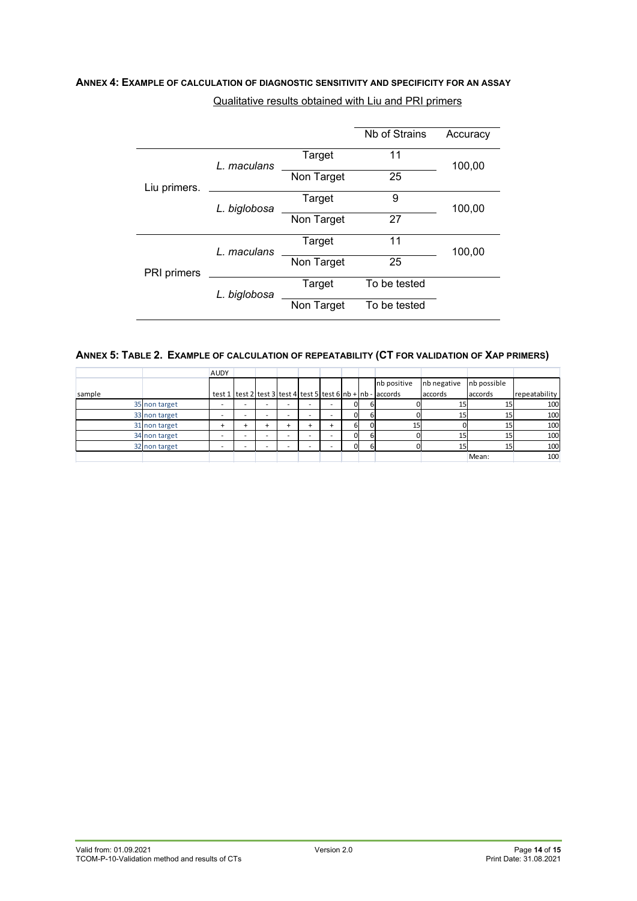## **ANNEX 4: EXAMPLE OF CALCULATION OF DIAGNOSTIC SENSITIVITY AND SPECIFICITY FOR AN ASSAY** Qualitative results obtained with Liu and PRI primers

|              |              |            | <b>Nb of Strains</b> | Accuracy |  |
|--------------|--------------|------------|----------------------|----------|--|
|              | L. maculans  | Target     | 11                   |          |  |
| Liu primers. |              | Non Target | 100,00<br>25         |          |  |
|              | L. biglobosa | Target     | 9                    | 100,00   |  |
|              |              | Non Target | 27                   |          |  |
|              | L. maculans  | Target     | 11                   | 100,00   |  |
| PRI primers  |              | Non Target | 25                   |          |  |
|              | L. biglobosa | Target     | To be tested         |          |  |
|              | Non Target   |            | To be tested         |          |  |

#### **ANNEX 5: TABLE 2. EXAMPLE OF CALCULATION OF REPEATABILITY (CT FOR VALIDATION OF XAP PRIMERS)**

|        |               | <b>AUDY</b> |  |  |          |                                                                      |             |             |               |
|--------|---------------|-------------|--|--|----------|----------------------------------------------------------------------|-------------|-------------|---------------|
|        |               |             |  |  |          | nb positive                                                          | nb negative | nb possible |               |
| sample |               |             |  |  |          | test 1 $\text{test 2}$ test 3 test 4 test 5 test 6 nb + nb - accords | accords     | accords     | repeatability |
|        | 35 non target |             |  |  | 01       |                                                                      | 15          |             | 100           |
|        | 33 non target |             |  |  | n.       |                                                                      | 15          |             | 100           |
|        | 31 non target | ÷           |  |  | ы        | 15                                                                   |             |             | 100           |
|        | 34 non target |             |  |  | $\Omega$ |                                                                      | 15          | ᆄ           | 100           |
|        | 32 non target |             |  |  | n.       |                                                                      | 15          | 15          | 100           |
|        |               |             |  |  |          |                                                                      |             | Mean:       | 100           |